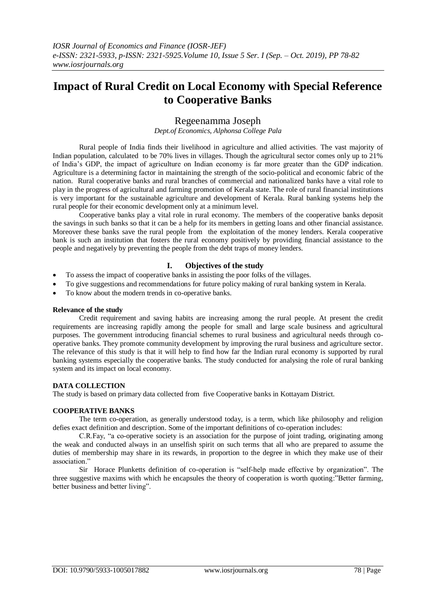# **Impact of Rural Credit on Local Economy with Special Reference to Cooperative Banks**

## Regeenamma Joseph

*Dept.of Economics, Alphonsa College Pala*

Rural people of India finds their livelihood in agriculture and allied activities. The vast majority of Indian population, calculated to be 70% lives in villages. Though the agricultural sector comes only up to 21% of India's GDP, the impact of agriculture on Indian economy is far more greater than the GDP indication. Agriculture is a determining factor in maintaining the strength of the socio-political and economic fabric of the nation. Rural cooperative banks and rural branches of commercial and nationalized banks have a vital role to play in the progress of agricultural and farming promotion of Kerala state. The role of rural financial institutions is very important for the sustainable agriculture and development of Kerala. Rural banking systems help the rural people for their economic development only at a minimum level.

Cooperative banks play a vital role in rural economy. The members of the cooperative banks deposit the savings in such banks so that it can be a help for its members in getting loans and other financial assistance. Moreover these banks save the rural people from the exploitation of the money lenders. Kerala cooperative bank is such an institution that fosters the rural economy positively by providing financial assistance to the people and negatively by preventing the people from the debt traps of money lenders.

## **I. Objectives of the study**

- To assess the impact of cooperative banks in assisting the poor folks of the villages.
- To give suggestions and recommendations for future policy making of rural banking system in Kerala.
- To know about the modern trends in co-operative banks.

#### **Relevance of the study**

Credit requirement and saving habits are increasing among the rural people. At present the credit requirements are increasing rapidly among the people for small and large scale business and agricultural purposes. The government introducing financial schemes to rural business and agricultural needs through cooperative banks. They promote community development by improving the rural business and agriculture sector. The relevance of this study is that it will help to find how far the Indian rural economy is supported by rural banking systems especially the cooperative banks. The study conducted for analysing the role of rural banking system and its impact on local economy.

#### **DATA COLLECTION**

The study is based on primary data collected from five Cooperative banks in Kottayam District.

## **COOPERATIVE BANKS**

The term co-operation, as generally understood today, is a term, which like philosophy and religion defies exact definition and description. Some of the important definitions of co-operation includes:

C.R.Fay, "a co-operative society is an association for the purpose of joint trading, originating among the weak and conducted always in an unselfish spirit on such terms that all who are prepared to assume the duties of membership may share in its rewards, in proportion to the degree in which they make use of their association<sup>"</sup>

Sir Horace Plunketts definition of co-operation is "self-help made effective by organization". The three suggestive maxims with which he encapsules the theory of cooperation is worth quoting:"Better farming, better business and better living".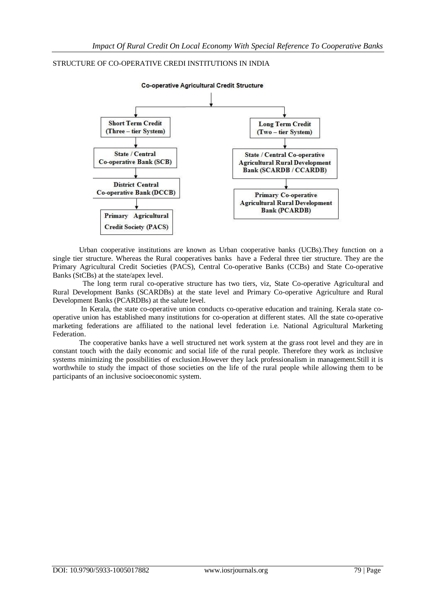## STRUCTURE OF CO-OPERATIVE CREDI INSTITUTIONS IN INDIA



Urban cooperative institutions are known as Urban cooperative banks (UCBs).They function on a single tier structure. Whereas the Rural cooperatives banks have a Federal three tier structure. They are the Primary Agricultural Credit Societies (PACS), Central Co-operative Banks (CCBs) and State Co-operative Banks (StCBs) at the state/apex level.

 The long term rural co-operative structure has two tiers, viz, State Co-operative Agricultural and Rural Development Banks (SCARDBs) at the state level and Primary Co-operative Agriculture and Rural Development Banks (PCARDBs) at the salute level.

In Kerala, the state co-operative union conducts co-operative education and training. Kerala state cooperative union has established many institutions for co-operation at different states. All the state co-operative marketing federations are affiliated to the national level federation i.e. National Agricultural Marketing Federation.

The cooperative banks have a well structured net work system at the grass root level and they are in constant touch with the daily economic and social life of the rural people. Therefore they work as inclusive systems minimizing the possibilities of exclusion.However they lack professionalism in management.Still it is worthwhile to study the impact of those societies on the life of the rural people while allowing them to be participants of an inclusive socioeconomic system.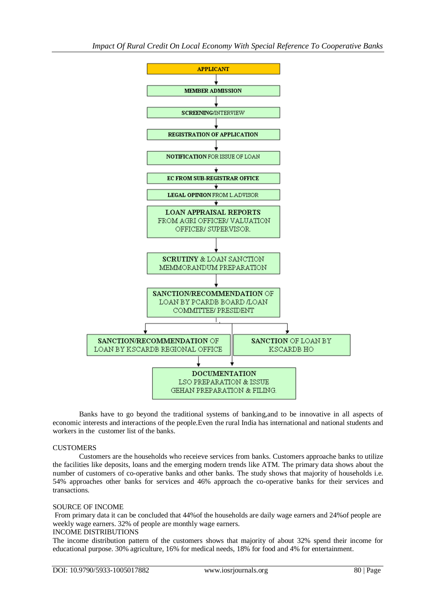

Banks have to go beyond the traditional systems of banking,and to be innovative in all aspects of economic interests and interactions of the people.Even the rural India has international and national students and workers in the customer list of the banks.

## **CUSTOMERS**

Customers are the households who receieve services from banks. Customers approache banks to utilize the facilities like deposits, loans and the emerging modern trends like ATM. The primary data shows about the number of customers of co-operative banks and other banks. The study shows that majority of households i.e. 54% approaches other banks for services and 46% approach the co-operative banks for their services and transactions.

## SOURCE OF INCOME

From primary data it can be concluded that 44%of the households are daily wage earners and 24%of people are weekly wage earners. 32% of people are monthly wage earners.

#### INCOME DISTRIBUTIONS

The income distribution pattern of the customers shows that majority of about 32% spend their income for educational purpose. 30% agriculture, 16% for medical needs, 18% for food and 4% for entertainment.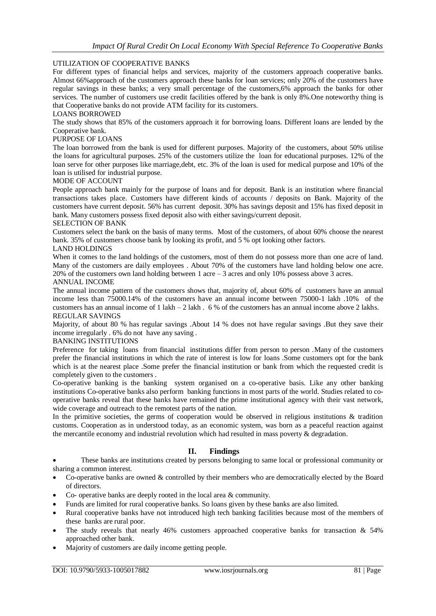### UTILIZATION OF COOPERATIVE BANKS

For different types of financial helps and services, majority of the customers approach cooperative banks. Almost 66%approach of the customers approach these banks for loan services; only 20% of the customers have regular savings in these banks; a very small percentage of the customers,6% approach the banks for other services. The number of customers use credit facilities offered by the bank is only 8%.One noteworthy thing is that Cooperative banks do not provide ATM facility for its customers.

#### LOANS BORROWED

The study shows that 85% of the customers approach it for borrowing loans. Different loans are lended by the Cooperative bank.

#### PURPOSE OF LOANS

The loan borrowed from the bank is used for different purposes. Majority of the customers, about 50% utilise the loans for agricultural purposes. 25% of the customers utilize the loan for educational purposes. 12% of the loan serve for other purposes like marriage,debt, etc. 3% of the loan is used for medical purpose and 10% of the loan is utilised for industrial purpose.

#### MODE OF ACCOUNT

People approach bank mainly for the purpose of loans and for deposit. Bank is an institution where financial transactions takes place. Customers have different kinds of accounts / deposits on Bank. Majority of the customers have current deposit. 56% has current deposit. 30% has savings deposit and 15% has fixed deposit in bank. Many customers possess fixed deposit also with either savings/current deposit.

#### SELECTION OF BANK

Customers select the bank on the basis of many terms. Most of the customers, of about 60% choose the nearest bank. 35% of customers choose bank by looking its profit, and 5 % opt looking other factors.

#### LAND HOLDINGS

When it comes to the land holdings of the customers, most of them do not possess more than one acre of land. Many of the customers are daily employees . About 70% of the customers have land holding below one acre. 20% of the customers own land holding between 1 acre – 3 acres and only 10% possess above 3 acres.

#### ANNUAL INCOME

The annual income pattern of the customers shows that, majority of, about 60% of customers have an annual income less than 75000.14% of the customers have an annual income between 75000-1 lakh .10% of the customers has an annual income of 1 lakh – 2 lakh . 6 % of the customers has an annual income above 2 lakhs. REGULAR SAVINGS

Majority, of about 80 % has regular savings .About 14 % does not have regular savings .But they save their income irregularly . 6% do not have any saving .

## BANKING INSTITUTIONS

Preference for taking loans from financial institutions differ from person to person .Many of the customers prefer the financial institutions in which the rate of interest is low for loans .Some customers opt for the bank which is at the nearest place .Some prefer the financial institution or bank from which the requested credit is completely given to the customers .

Co-operative banking is the banking system organised on a co-operative basis. Like any other banking institutions Co-operative banks also perform banking functions in most parts of the world. Studies related to cooperative banks reveal that these banks have remained the prime institutional agency with their vast network, wide coverage and outreach to the remotest parts of the nation.

In the primitive societies, the germs of cooperation would be observed in religious institutions & tradition customs. Cooperation as in understood today, as an economic system, was born as a peaceful reaction against the mercantile economy and industrial revolution which had resulted in mass poverty & degradation.

## **II. Findings**

 These banks are institutions created by persons belonging to same local or professional community or sharing a common interest.

- Co-operative banks are owned & controlled by their members who are democratically elected by the Board of directors.
- Co- operative banks are deeply rooted in the local area & community.
- Funds are limited for rural cooperative banks. So loans given by these banks are also limited.
- Rural cooperative banks have not introduced high tech banking facilities because most of the members of these banks are rural poor.
- The study reveals that nearly 46% customers approached cooperative banks for transaction  $\&$  54% approached other bank.
- Majority of customers are daily income getting people.